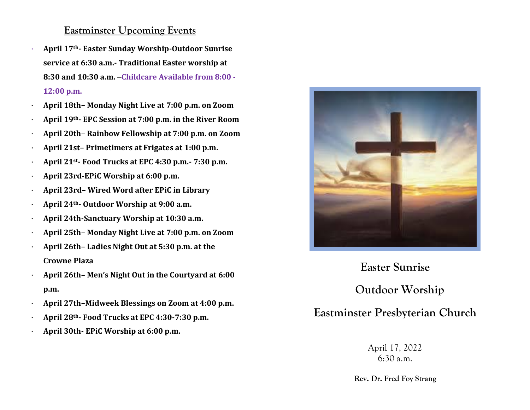### **Eastminster Upcoming Events**

- · **April 17th- Easter Sunday Worship-Outdoor Sunrise service at 6:30 a.m.- Traditional Easter worship at 8:30 and 10:30 a.m.** –**Childcare Available from 8:00 - 12:00 p.m.**
- · **April 18th– Monday Night Live at 7:00 p.m. on Zoom**
- · **April 19th- EPC Session at 7:00 p.m. in the River Room**
- · **April 20th– Rainbow Fellowship at 7:00 p.m. on Zoom**
- · **April 21st– Primetimers at Frigates at 1:00 p.m.**
- · **April 21st- Food Trucks at EPC 4:30 p.m.- 7:30 p.m.**
- · **April 23rd-EPiC Worship at 6:00 p.m.**
- · **April 23rd– Wired Word after EPiC in Library**
- · **April 24th- Outdoor Worship at 9:00 a.m.**
- · **April 24th-Sanctuary Worship at 10:30 a.m.**
- · **April 25th– Monday Night Live at 7:00 p.m. on Zoom**
- · **April 26th– Ladies Night Out at 5:30 p.m. at the Crowne Plaza**
- · **April 26th– Men's Night Out in the Courtyard at 6:00 p.m.**
- · **April 27th–Midweek Blessings on Zoom at 4:00 p.m.**
- · **April 28th- Food Trucks at EPC 4:30-7:30 p.m.**
- · **April 30th- EPiC Worship at 6:00 p.m.**



# **Easter Sunrise**

**Outdoor Worship**

## **Eastminster Presbyterian Church**

April 17, 2022 6:30 a.m.

**Rev. Dr. Fred Foy Strang**